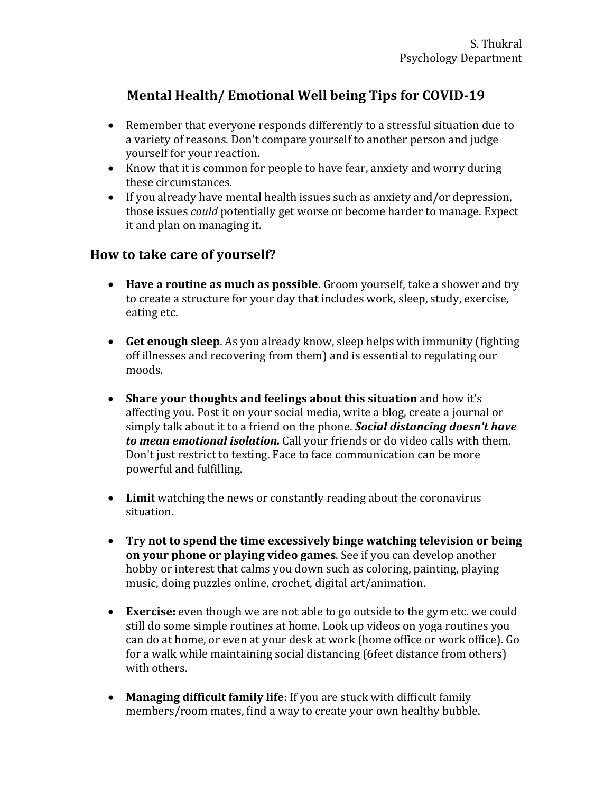## Mental Health/ Emotional Well being Tips for COVID-19

- Remember that everyone responds differently to a stressful situation due to a variety of reasons. Don't compare yourself to another person and judge yourself for your reaction.
- Know that it is common for people to have fear, anxiety and worry during these circumstances.
- If you already have mental health issues such as anxiety and/or depression, those issues *could* potentially get worse or become harder to manage. Expect it and plan on managing it.

## **How to take care of yourself?**

- **Have a routine as much as possible.** Groom yourself, take a shower and try to create a structure for your day that includes work, sleep, study, exercise, eating etc.
- Get enough sleep. As you already know, sleep helps with immunity (fighting off illnesses and recovering from them) and is essential to regulating our moods.
- Share your thoughts and feelings about this situation and how it's affecting you. Post it on your social media, write a blog, create a journal or simply talk about it to a friend on the phone. *Social distancing doesn't have* **to mean emotional isolation.** Call your friends or do video calls with them. Don't just restrict to texting. Face to face communication can be more powerful and fulfilling.
- Limit watching the news or constantly reading about the coronavirus situation.
- Try not to spend the time excessively binge watching television or being **on your phone or playing video games**. See if you can develop another hobby or interest that calms you down such as coloring, painting, playing music, doing puzzles online, crochet, digital art/animation.
- **Exercise:** even though we are not able to go outside to the gym etc. we could still do some simple routines at home. Look up videos on yoga routines you can do at home, or even at your desk at work (home office or work office). Go for a walk while maintaining social distancing (6feet distance from others) with others.
- Managing difficult family life: If you are stuck with difficult family members/room mates, find a way to create your own healthy bubble.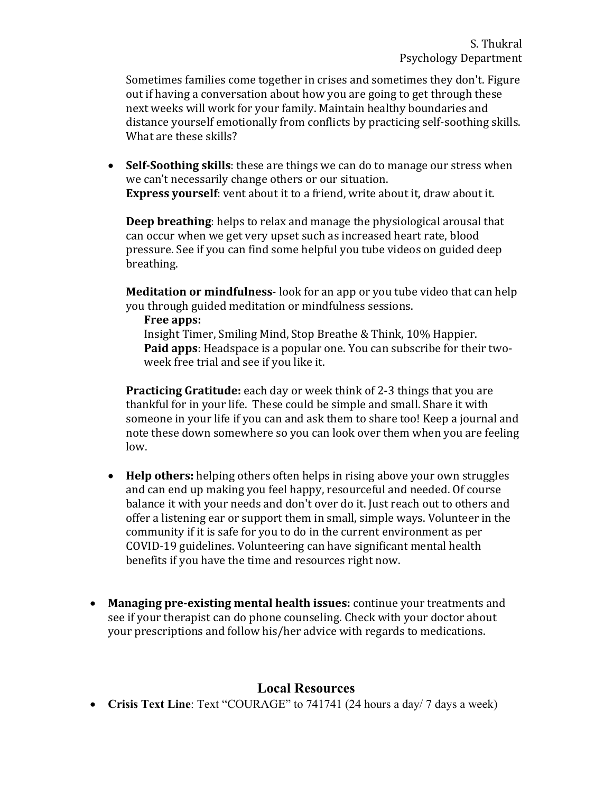Sometimes families come together in crises and sometimes they don't. Figure out if having a conversation about how you are going to get through these next weeks will work for your family. Maintain healthy boundaries and distance yourself emotionally from conflicts by practicing self-soothing skills. What are these skills?

• Self-Soothing skills: these are things we can do to manage our stress when we can't necessarily change others or our situation. **Express yourself**: vent about it to a friend, write about it, draw about it.

**Deep breathing**: helps to relax and manage the physiological arousal that can occur when we get very upset such as increased heart rate, blood pressure. See if you can find some helpful you tube videos on guided deep breathing. 

**Meditation or mindfulness**- look for an app or you tube video that can help you through guided meditation or mindfulness sessions.

**Free apps:**

Insight Timer, Smiling Mind, Stop Breathe & Think, 10% Happier. **Paid apps**: Headspace is a popular one. You can subscribe for their twoweek free trial and see if you like it.

**Practicing Gratitude:** each day or week think of 2-3 things that you are thankful for in your life. These could be simple and small. Share it with someone in your life if you can and ask them to share too! Keep a journal and note these down somewhere so you can look over them when you are feeling low. 

- **Help others:** helping others often helps in rising above your own struggles and can end up making you feel happy, resourceful and needed. Of course balance it with your needs and don't over do it. Just reach out to others and offer a listening ear or support them in small, simple ways. Volunteer in the community if it is safe for you to do in the current environment as per COVID-19 guidelines. Volunteering can have significant mental health benefits if you have the time and resources right now.
- Managing pre-existing mental health issues: continue your treatments and see if your therapist can do phone counseling. Check with your doctor about your prescriptions and follow his/her advice with regards to medications.

## **Local Resources**

• **Crisis Text Line**: Text "COURAGE" to 741741 (24 hours a day/ 7 days a week)